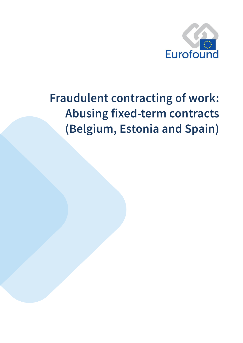

# **Fraudulent contracting of work:** Abusing fixed-term contracts (Belgium, Estonia and Spain)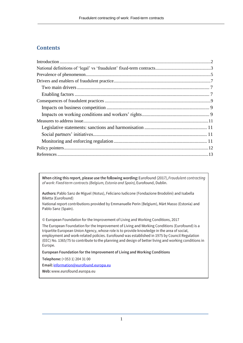## **Contents**

When citing this report, please use the following wording: Eurofound (2017), Fraudulent contracting of work: Fixed-term contracts (Belgium, Estonia and Spain), Eurofound, Dublin.

Authors: Pablo Sanz de Miguel (Notus), Feliciano Iudicone (Fondazione Brodolini) and Isabella Biletta (Eurofound)

National report contributions provided by Emmanuelle Perin (Belgium), Märt Masso (Estonia) and Pablo Sanz (Spain).

© European Foundation for the Improvement of Living and Working Conditions, 2017

The European Foundation for the Improvement of Living and Working Conditions (Eurofound) is a tripartite European Union Agency, whose role is to provide knowledge in the area of social, employment and work-related policies. Eurofound was established in 1975 by Council Regulation (EEC) No. 1365/75 to contribute to the planning and design of better living and working conditions in Europe.

European Foundation for the Improvement of Living and Working Conditions

Telephone: (+353 1) 204 31 00

Email: information@eurofound.europa.eu

<span id="page-1-0"></span>Web: www.eurofound.europa.eu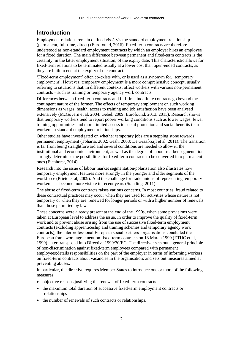# **Introduction**

Employment relations remain defined vis-à-vis the standard employment relationship (permanent, full-time, direct) (Eurofound, 2016). Fixed-term contracts are therefore understood as non-standard employment contracts by which an employer hires an employee for a fixed duration. The main difference between permanent and fixed-term contracts is the certainty, in the latter employment situation, of the expiry date. This characteristic allows for fixed-term relations to be terminated usually at a lower cost than open-ended contracts, as they are built to end at the expiry of the contract.

'Fixed-term employment' often co-exists with, or is used as a synonym for, 'temporary employment'. However, temporary employment is a more comprehensive concept, usually referring to situations that, in different contexts, affect workers with various non-permanent contracts – such as training or temporary agency work contracts.

Differences between fixed-term contracts and full-time indefinite contracts go beyond the contingent nature of the former. The effects of temporary employment on such working dimensions as wages, health, access to training and job satisfaction have been analysed extensively (McGovern et al, 2004; Gebel, 2009; Eurofound, 2013, 2015). Research shows that temporary workers tend to report poorer working conditions such as lower wages, fewer training opportunities and more limited access to social protection and social benefits than workers in standard employment relationships.

Other studies have investigated on whether temporary jobs are a stepping stone towards permanent employment (Toharia, 2002; Gash, 2008; De Graaf-Zijl et al, 2011). The transition is far from being straightforward and several conditions are needed to allow it: the institutional and economic environment, as well as the degree of labour market segmentation, strongly determines the possibilities for fixed-term contracts to be converted into permanent ones (Eichhorst, 2014).

Research into the issue of labour market segmentation/polarisation also illustrates how temporary employment features more strongly in the younger and older segments of the workforce (Prieto et al, 2009). And the challenge for trade unions of representing temporary workers has become more visible in recent years (Standing, 2011).

The abuse of fixed-term contracts raises various concerns. In most countries, fraud related to these contractual practices may occur when they are used for activities whose nature is not temporary or when they are renewed for longer periods or with a higher number of renewals than those permitted by law.

These concerns were already present at the end of the 1990s, when some provisions were taken at European level to address the issue. In order to improve the quality of fixed-term work and to prevent abuse arising from the use of successive fixed-term employment contracts (excluding apprenticeship and training schemes and temporary agency work contracts), the interprofessional European social partners' organisations concluded the European framework agreement on fixed-term contracts on 18 March 1999 (ETUC et al, 1999), later transposed into Directive 1999/70/EC. The directive: sets out a general principle of non-discrimination against fixed-term employees compared with permanent employees;details responsibilities on the part of the employer in terms of informing workers on fixed-term contracts about vacancies in the organisation; and sets out measures aimed at preventing abuses.

In particular, the directive requires Member States to introduce one or more of the following measures:

- objective reasons justifying the renewal of fixed-term contracts
- the maximum total duration of successive fixed-term employment contracts or relationships
- the number of renewals of such contracts or relationships.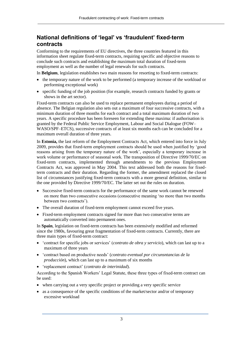# <span id="page-3-0"></span>**National definitions of 'legal' vs 'fraudulent' fixed-term contracts**

Conforming to the requirements of EU directives, the three countries featured in this information sheet regulate fixed-term contracts, requiring specific and objective reasons to conclude such contracts and establishing the maximum total duration of fixed-term employment as well as the number of legal renewals for such contracts.

In **Belgium**, legislation establishes two main reasons for resorting to fixed-term contracts:

- the temporary nature of the work to be performed (a temporary increase of the workload or performing exceptional work)
- specific funding of the job position (for example, research contracts funded by grants or shows in the art sector).

Fixed-term contracts can also be used to replace permanent employees during a period of absence. The Belgian regulation also sets out a maximum of four successive contracts, with a minimum duration of three months for each contract and a total maximum duration of two years. A specific procedure has been foreseen for extending these maxima: if authorisation is granted by the Federal Public Service Employment, Labour and Social Dialogue (FOW– WASO/SPF–ETCS), successive contracts of at least six months each can be concluded for a maximum overall duration of three years.

In **Estonia,** the last reform of the Employment Contracts Act, which entered into force in July 2009, provides that fixed-term employment contracts should be used when justified by 'good reasons arising from the temporary nature of the work', especially a temporary increase in work volume or performance of seasonal work. The transposition of Directive 1999/70/EC on fixed-term contracts, implemented through amendments to the previous Employment Contracts Act, was approved in May 2004. This text addressed both the reasons for fixedterm contracts and their duration. Regarding the former, the amendment replaced the closed list of circumstances justifying fixed-term contracts with a more general definition, similar to the one provided by Directive 1999/70/EC. The latter set out the rules on duration.

- Successive fixed-term contracts for the performance of the same work cannot be renewed on more than two consecutive occasions (consecutive meaning 'no more than two months between two contracts').
- The overall duration of fixed-term employment cannot exceed five years.
- Fixed-term employment contracts signed for more than two consecutive terms are automatically converted into permanent ones.

In **Spain**, legislation on fixed-term contracts has been extensively modified and reformed since the 1980s, favouring great fragmentation of fixed-term contracts. Currently, there are three main types of fixed-term contract:

- 'contract for specific jobs or services' (*contrato de obra y servicio*), which can last up to a maximum of three years
- 'contract based on productive needs' (*contrato eventual por circunsntancias de la producción*), which can last up to a maximum of six months
- 'replacement contract' (*contrato de interinidad*).

According to the Spanish Workers' Legal Statute, these three types of fixed-term contract can be used:

- when carrying out a very specific project or providing a very specific service
- as a consequence of the specific conditions of the market/sector and/or of temporary excessive workload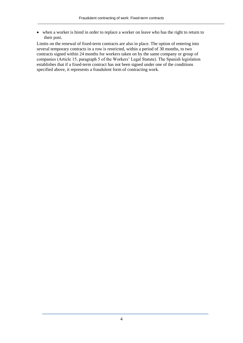when a worker is hired in order to replace a worker on leave who has the right to return to their post.

Limits on the renewal of fixed-term contracts are also in place. The option of entering into several temporary contracts in a row is restricted, within a period of 30 months, to two contracts signed within 24 months for workers taken on by the same company or group of companies (Article 15, paragraph 5 of the Workers' Legal Statute). The Spanish legislation establishes that if a fixed-term contract has not been signed under one of the conditions specified above, it represents a fraudulent form of contracting work.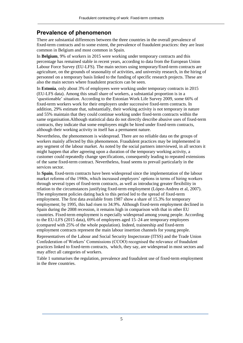## <span id="page-5-0"></span>**Prevalence of phenomenon**

There are substantial differences between the three countries in the overall prevalence of fixed-term contracts and to some extent, the prevalence of fraudulent practices: they are least common in Belgium and most common in Spain.

In **Belgium**, 9% of workers in 2015 were working under temporary contracts and this percentage has remained stable in recent years, according to data from the European Union Labour Force Survey (EU-LFS). The main sectors using temporary/fixed-term contracts are agriculture, on the grounds of seasonality of activities, and university research, in the hiring of personnel on a temporary basis linked to the funding of specific research projects. These are also the main sectors where fraudulent practices can be seen.

In **Estonia**, only about 3% of employees were working under temporary contracts in 2015 (EU-LFS data). Among this small share of workers, a substantial proportion is in a 'questionable' situation. According to the Estonian Work Life Survey 2009, some 66% of fixed-term workers work for their employers under successive fixed-term contracts. In addition, 29% estimate that, substantially, their working activity is not temporary in nature and 55% maintain that they could continue working under fixed-term contracts within the same organisation.Although statistical data do not directly describe abusive uses of fixed-term contracts, they indicate that some employees might be hired under fixed-term contracts, although their working activity in itself has a permanent nature.

Nevertheless, the phenomenom is widespread. There are no reliable data on the groups of workers mainly affected by this phenomenon. Fraudulent practices may be implemented in any segment of the labour market. As noted by the social partners interviewed, in all sectors it might happen that after agreeing upon a duration of the temporary working activity, a customer could repeatedly change specifications, consequently leading to repeated extensions of the same fixed-term contract. Nevertheless, fraud seems to prevail particularly in the services sector.

In **Spain**, fixed-term contracts have been widespread since the implementation of the labour market reforms of the 1980s, which increased employers' options in terms of hiring workers through several types of fixed-term contracts, as well as introducing greater flexibility in relation to the circumstances justifying fixed-term employment (López-Andreu et al, 2007). The employment policies dating back to this period led to the spread of fixed-term employment. The first data available from 1987 show a share of 15.3% for temporary employment; by 1995, this had risen to 34.9%. Although fixed-term employment declined in Spain during the 2008 recession, it remains high in comparison with that in other EU countries. Fixed-term employment is especially widespread among young people. According to the EU-LFS (2015 data), 69% of employees aged 15–24 are temporary employees (compared with 25% of the whole population). Indeed, traineeship and fixed-term employment contracts represent the main labour insertion channels for young people.

Representatives of the Labour and Social Security Inspectorate (ITSS) and the Trade Union Confederation of Workers' Commissions (CCOO) recognised the relevance of fraudulent practices linked to fixed-term contracts, which, they say, are widespread in most sectors and may affect all categories of workers.

Table 1 summarises the regulation, prevalence and fraudulent use of fixed-term employment in the three countries.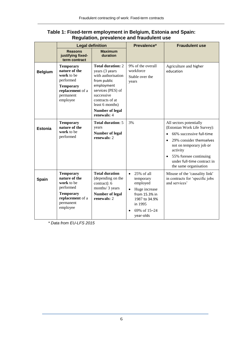|                | <b>Legal definition</b>                                                                                                       |                                                                                                                                                                                                                 | Prevalence*                                                                                                                                                           | <b>Fraudulent use</b>                                                                                                                                                                                                                                             |
|----------------|-------------------------------------------------------------------------------------------------------------------------------|-----------------------------------------------------------------------------------------------------------------------------------------------------------------------------------------------------------------|-----------------------------------------------------------------------------------------------------------------------------------------------------------------------|-------------------------------------------------------------------------------------------------------------------------------------------------------------------------------------------------------------------------------------------------------------------|
|                | <b>Reasons</b><br>justifying fixed-<br>term contract                                                                          | <b>Maximum</b><br>duration                                                                                                                                                                                      |                                                                                                                                                                       |                                                                                                                                                                                                                                                                   |
| <b>Belgium</b> | <b>Temporary</b><br>nature of the<br>work to be<br>performed<br><b>Temporary</b><br>replacement of a<br>permanent<br>employee | <b>Total duration: 2</b><br>years (3 years<br>with authorisation<br>from public<br>employment<br>services (PES) of<br>successive<br>contracts of at<br>least 6 months)<br><b>Number of legal</b><br>renewals: 4 | 9% of the overall<br>workforce<br>Stable over the<br>years                                                                                                            | Agriculture and higher<br>education                                                                                                                                                                                                                               |
| <b>Estonia</b> | <b>Temporary</b><br>nature of the<br>work to be<br>performed                                                                  | <b>Total duration: 5</b><br>years<br><b>Number of legal</b><br>renewals: 2                                                                                                                                      | 3%                                                                                                                                                                    | All sectors potentially<br>(Estonian Work Life Survey):<br>66% successive full-time<br>29% consider themselves<br>$\bullet$<br>not on temporary job or<br>activity<br>55% foresee continuing<br>$\bullet$<br>under full-time contract in<br>the same organisation |
| Spain          | <b>Temporary</b><br>nature of the<br>work to be<br>performed<br><b>Temporary</b><br>replacement of a<br>permanent<br>employee | <b>Total duration</b><br>(depending on the<br>contract): 6<br>months/ 3 years<br>Number of legal<br>renewals: 2                                                                                                 | 25% of all<br>$\bullet$<br>temporary<br>employed<br>Huge increase<br>$\bullet$<br>from 15.3% in<br>1987 to 34.9%<br>in 1995<br>69% of 15-24<br>$\bullet$<br>year-olds | Misuse of the 'causality link'<br>in contracts for 'specific jobs<br>and services'                                                                                                                                                                                |

#### **Table 1: Fixed-term employment in Belgium, Estonia and Spain: Regulation, prevalence and fraudulent use**

*\* Data from EU-LFS 2015*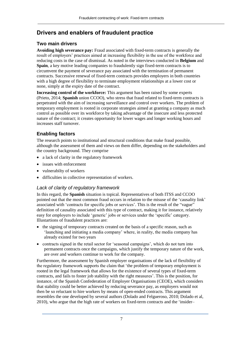# <span id="page-7-0"></span>**Drivers and enablers of fraudulent practice**

#### <span id="page-7-1"></span>**Two main drivers**

**Avoiding high severance pay:** Fraud associated with fixed-term contracts is generally the result of employers' practices aimed at increasing flexibility in the use of the workforce and reducing costs in the case of dismissal. As noted in the interviews conducted in **Belgium** and **Spain**, a key motive leading companies to fraudulently sign fixed-term contracts is to circumvent the payment of severance pay associated with the termination of permanent contracts. Successive renewal of fixed-term contracts provides employers in both countries with a high degree of flexibility to terminate employment relationships at a lower cost or none, simply at the expiry date of the contract.

**Increasing control of the workforce:** This argument has been raised by some experts (Prieto, 2014; **Spanish** union CCOO), who stress that fraud related to fixed-term contracts is perpetrated with the aim of increasing surveillance and control over workers. The problem of temporary employment is rooted in corporate strategies aimed at granting a company as much control as possible over its workforce by taking advantage of the insecure and less protected nature of the contract; it creates opportunity for lower wages and longer working hours and increases staff turnover.

## <span id="page-7-2"></span>**Enabling factors**

The research points to institutional and structural conditions that make fraud possible, although the assessment of them and views on them differ, depending on the stakeholders and the country background. They comprise

- a lack of clarity in the regulatory framework
- issues with enforcement
- vulnerabilty of workers
- difficulties in collective representation of workers.

## *Lack of clarity of regulatory framework*

In this regard, the **Spanish** situation is topical. Representatives of both ITSS and CCOO pointed out that the most common fraud occurs in relation to the misuse of the 'causality link' associated with 'contracts for specific jobs or services'. This is the result of the "vague" definition of causality associated with this type of contract, making it for instance, relatively easy for employers to include 'generic' jobs or services under the 'specific' category. Illustartions of fraudulent practices are:

- the signing of temporary contracts created on the basis of a specific reason, such as 'launching and initiating a media company' where, in reality, the media company has already existed for two years
- contracts signed in the retail sector for 'seasonal campaigns', which do not turn into permanent contracts once the campaigns, which justify the temporary nature of the work, are over and workers continue to work for the company.

Furthermore, the assessment by Spanish employer organisations of the lack of flexibility of the regulatory framework supports the claim that 'the problem of temporary employment is rooted in the legal framework that allows for the existence of several types of fixed-term contracts, and fails to foster job stability with the right measures'. This is the position, for instance, of the Spanish Confederation of Employer Organisations (CEOE), which considers that stability could be better achieved by reducing severance pay, as employers would not then be so reluctant to hire workers by means of open-ended contracts. This argument resembles the one developed by several authors (Dolado and Felgueroso, 2010; Dolado et al, 2010), who argue that the high rate of workers on fixed-term contracts and the 'insider–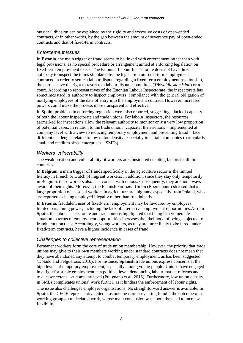outsider' division can be explained by the rigidity and excessive costs of open-ended contracts, or in other words, by the gap between the amount of severance pay of open-ended contracts and that of fixed-term contracts.

#### *Enforcement issues*

In **Estonia**, the main trigger of fraud seems to be linked with enforcement rather than with legal provisions. as no special procedure or arrangement aimed at enforcing legislation on fixed-term employment exists. The Estonian Labour Inspectorate does not have direct authority to inspect the terms stipulated by the legislation on fixed-term employment contracts. In order to settle a labour dispute regarding a fixed-term employment relationship, the parties have the right to resort to a labour dispute committee (*Töövaidluskomisjon*) or to court. According to representatives of the Estonian Labour Inspectorate, the inspectorate has sometimes used its authority to inspect employers' compliance with the general obligation of notifying employees of the date of entry into the employment contract. However, increased powers could make the process more transparent and effective.

In **Spain**, problems in enforcing regulation were also reported, suggesting a lack of capacity of both the labour inspectorate and trade unions. For labour inspectors, the resources earmarked for inspections allow the relevant authority to monitor only a very low proportion of potential cases. In relation to the trade unions' capacity, their actions – implemented at company level with a view to reducing temporary employment and preventing fraud – face different challenges related to low union density, especially in certain companies (particularly small and medium-sized enterprises – SMEs).

#### *Workers' vulnerability*

The weak position and vulnerability of workers are considered enabling factors in all three countries.

In **Belgium**, a main trigger of frauds specifically in the agriculture sector is the limited literacy in French or Dutch of migrant workers; in addition, since they stay only temporarily in Belgium, these workers also lack contact with unions. Consequently, they are not always aware of their rights. Moreover, the Flemish Farmers' Union (Boerenbond) stressed that a large proportion of seasonal workers in agriculture are migrants, especially from Poland, who are reported as being employed illegally rather than fraudulently.

In **Estonia**, fraudulent uses of fixed-term employment may be favoured by employees' limited bargaining power, including the lack of alternative employment opportunities.Also in **Spain**, the labour inspectorate and trade unions highlighted that being in a vulnerable situation in terms of employment opportunities increases the likelihood of being subjected to fraudulent practices. Accordingly, young workers, as they are more likely to be hired under fixed-term contracts, have a higher incidence in cases of fraud.

#### *Challenges to collective representation*

Permanent workers form the core of trade union membership. However, the priority that trade unions may give to their own members working under standard contracts does not mean that they have abandoned any attempt to combat temporary employment, as has been suggested (Dolado and Felgueroso, 2010). For instance, **Spanish** trade unions express concerns at the high levels of temporary employment, especially among young people. Unions have engaged in a fight for stable employment at a political level, denouncing labour market reforms and – to a lesser extent – at company level (Pulignano et al, 2016). Furthermore, low union density in SMEs complicates unions' work further, as it hinders the enforcement of labour rights.

The issue also challenges employer organisations. No straightforward answer is available. In **Spain**, the CEOE representative cited – as one measure preventing fraud – the outcome of a working group on undeclared work, whose main conclusion was about the need to increase flexibility.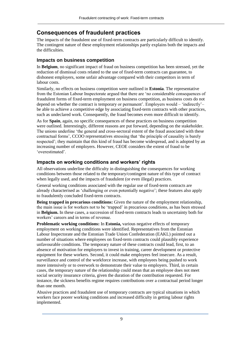# <span id="page-9-0"></span>**Consequences of fraudulent practices**

The impacts of the fraudulent use of fixed-term contracts are particularly difficult to identify. The contingent nature of these employment relationships partly explains both the impacts and the difficulties.

## <span id="page-9-1"></span>**Impacts on business competition**

In **Belgium**, no significant impact of fraud on business competition has been stressed, yet the reduction of dismissal costs related to the use of fixed-term contracts can guarantee, to dishonest employers, some unfair advantage compared with their competitors in term of labour costs.

Similarly, no effects on business competition were outlined in **Estonia**. The representative from the Estonian Labour Inspectorate argued that there are 'no considerable consequences of fraudulent forms of fixed-term employment on business competition, as business costs do not depend on whether the contract is temporary or permanent'. Employers would – 'indirectly'– be able to achieve a competitive edge by associating fixed-term contracts with other practices, such as undeclared work. Consequently, the fraud becomes even more difficult to identify.

As for **Spain**, again, no specific consequences of these practices on business competition were outlined. Interestingly, different reasons are put forward, depending on the stakeholder. The unions underline 'the general and cross-sectoral extent of the fraud associated with these contractual forms', CCOO representatives stressing that 'the principle of causality is barely respected'; they maintain that this kind of fraud has become widespread, and is adopted by an increasing number of employers. However, CEOE considers the extent of fraud to be 'overestimated'.

## <span id="page-9-2"></span>**Impacts on working conditions and workers' rights**

All observations underline the difficulty in distinguishing the consequences for working conditions between those related to the temporary/contingent nature of this type of contract when legally used, and the impacts of fraudulent (or even illegal) practices.

General working conditions associated with the regular use of fixed-term contracts are already characterised as 'challenging or even potentially negative'; these features also apply to fraudulently concluded fixed-term contracts.

**Being trapped in precarious conditions:** Given the nature of the employment relationship, the main issue is for workers not to be 'trapped' in precarious conditions, as has been stressed in **Belgium.** In these cases, a succession of fixed-term contracts leads to uncertainty both for workers' careers and in terms of revenue.

**Problematic working conditions:** In **Estonia,** various negative effects of temporary employment on working conditions were identified. Representatives from the Estonian Labour Inspectorate and the Estonian Trade Union Confederation (EAKL) pointed out a number of situations where employees on fixed-term contracts could plausibly experience unfavourable conditions. The temporary nature of these contracts could lead, first, to an absence of motivation for employers to invest in training, career development or protective equipment for these workers. Second, it could make employees feel insecure. As a result, surveillance and control of the workforce increase, with employees being pushed to work more intensively or to overwork to demonstrate their value to employers. Third, in certain cases, the temporary nature of the relationship could mean that an employee does not meet social security insurance criteria, given the duration of the contribution requested. For instance, the sickness benefits regime requires contributions over a contractual period longer than one month.

Abusive practices and fraudulent use of temporary contracts are typical situations in which workers face poorer working conditions and increased difficulty in getting labour rights implemented.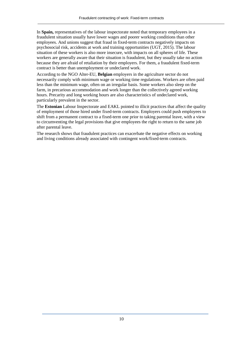In **Spain,** representatives of the labour inspectorate noted that temporary employees in a fraudulent situation usually have lower wages and poorer working conditions than other employees. And unions suggest that fraud in fixed-term contracts negatively impacts on psychosocial risk, accidents at work and training opportunities (UGT, 2015). The labour situation of these workers is also more insecure, with impacts on all spheres of life. These workers are generally aware that their situation is fraudulent, but they usually take no action because they are afraid of retaliation by their employers. For them, a fraudulent fixed-term contract is better than unemployment or undeclared work.

According to the NGO Alter-EU, **Belgian** employers in the agriculture sector do not necessarily comply with minimum wage or working time regulations. Workers are often paid less than the minimum wage, often on an irregular basis. Some workers also sleep on the farm, in precarious accommodation and work longer than the collectively agreed working hours. Precarity and long working hours are also characteristics of undeclared work, particularly prevalent in the sector.

The **Estonian** Labour Inspectorate and EAKL pointed to illicit practices that affect the quality of employment of those hired under fixed-term contracts. Employers could push employees to shift from a permanent contract to a fixed-term one prior to taking parental leave, with a view to circumventing the legal provisions that give employees the right to return to the same job after parental leave.

The research shows that fraudulent practices can exacerbate the negative effects on working and living conditions already associated with contingent work/fixed-term contracts.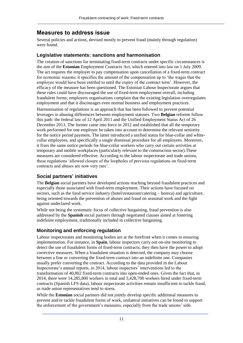# <span id="page-11-0"></span>**Measures to address issue**

Several policies and actions, devised mostly to prevent fraud (mainly through regulation) were found.

#### <span id="page-11-1"></span>**Legislative statements: sanctions and harmonisation**

The creation of sanctions for terminating fixed-term contracts under specific circumstances is the aim of the **Estonian** Employment Contracts Act, which entered into law on 1 July 2009. The act requires the employer to pay compensation upon cancellation of a fixed-term contract for economic reasons; it specifies the amount of the compensation up to 'the wages that the employee would have been entitled to until the expiry of the contract term'. However, the efficacy of the measure has been questioned. The Estonian Labour Inspectorate argues that these rules could have discouraged the use of fixed-term employment overall, including fraudulent forms; employers organisations complain that the existing legislation overregulates employment and that it discourages even normal business and employment practices.

Harmonisation of regulations is an approach that has been followed to prevent potential leverages in abusing differences between employment statuses. Two **Belgian** reforms follow this path: the federal law of 12 April 2011 and the Unified Employment Status Act of 26 December 2013. The former came into force in 2012 and established that all the temporary work performed for one employer be taken into account to determine the relevant seniority for the notice period payment. The latter introduced a unified status for blue-collar and whitecollar employees, and specifically a single dismissal procedure for all employees. Moreover, it fixes the same notice periods for blue-collar workers who carry out certain activities at temporary and mobile workplaces (particularly relevant to the construction sector).These measures are considered effective. According to the labour inspectorate and trade unions, these regulations 'allowed closure of the loopholes of previous regulations on fixed-term contracts and abuses are now very rare'.

## <span id="page-11-2"></span>**Social partners' initiatives**

The **Belgian** social partners have developed actions reaching beyond fraudulent practices and especially those associated with fixed-term employment. Their actions have focused on sectors, such as the food service industry (hotel/restaurant/catering – horeca) and agriculture, being oriented towards the prevention of abuses and fraud on seasonal work and the fight against undeclared work.

While not being the systematic focus of collective bargaining, fraud prevention is also addressed by the **Spanish** social partners through negotiated clauses aimed at fostering indefinite employment, traditionally included in collective bargaining.

## <span id="page-11-3"></span>**Monitoring and enforcing regulation**

Labour inspectorates and monitoring bodies are at the forefront when it comes to ensuring implementation. For instance, in **Spain**, labour inspectors carry out on-site monitoring to detect the use of fraudulent forms of fixed-term contracts; they then have the power to adopt corrective measures. When a fraudulent situation is detected, the company may choose between a fine or converting the fixed-term contract into an indefinite one. Companies usually prefer converting the contract. According to the data provided in the Labour Inspectorate's annual reports, in 2014, labour inspectors' interventions led to the transformation of 40,802 fixed-term contracts into open-ended ones. Given the fact that, in 2014, there were 14,285,800 workers in total and 3,428,700 workers hired under fixed-term contracts (Spanish LFS data), labour inspectorate activities remain insufficient to tackle fraud, as trade union representatives tend to stress.

While the **Estonian** social partners did not jointly develop specific additional measures to prevent and/or tackle fraudulent forms of work, unilateral initiatives can be found to support the enforcement of the government's measures, especially from the trade unions' side.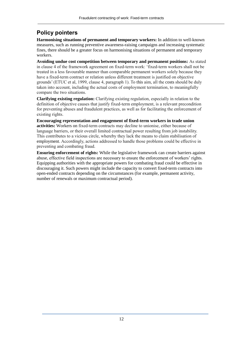# <span id="page-12-0"></span>**Policy pointers**

**Harmonising situations of permanent and temporary workers:** In addition to well-known measures, such as running preventive awareness-raising campaigns and increasing systematic fines, there should be a greater focus on harmonising situations of permanent and temporary workers.

**Avoiding undue cost competition between temporary and permanent positions:** As stated in clause 4 of the framework agreement on fixed-term work: 'fixed-term workers shall not be treated in a less favourable manner than comparable permanent workers solely because they have a fixed-term contract or relation unless different treatment is justified on objective grounds' (ETUC et al, 1999, clause 4, paragraph 1). To this aim, all the costs should be duly taken into account, including the actual costs of employment termination, to meaningfully compare the two situations.

**Clarifying existing regulation:** Clarifying existing regulation, especially in relation to the definition of objective causes that justify fixed-term employment, is a relevant precondition for preventing abuses and fraudulent practices, as well as for facilitating the enforcement of existing rights.

**Encouraging representation and engagement of fixed-term workers in trade union activities:** Workers on fixed-term contracts may decline to unionise, either because of language barriers, or their overall limited contractual power resulting from job instability. This contributes to a vicious circle, whereby they lack the means to claim stabilisation of employment. Accordingly, actions addressed to handle those problems could be effective in preventing and combating fraud.

**Ensuring enforcement of rights:** While the legislative framework can create barriers against abuse, effective field inspections are necessary to ensure the enforcement of workers' rights. Equipping authorities with the appropriate powers for combating fraud could be effective in discouraging it. Such powers might include the capacity to convert fixed-term contracts into open-ended contracts depending on the circumstances (for example, permanent activity, number of renewals or maximum contractual period).